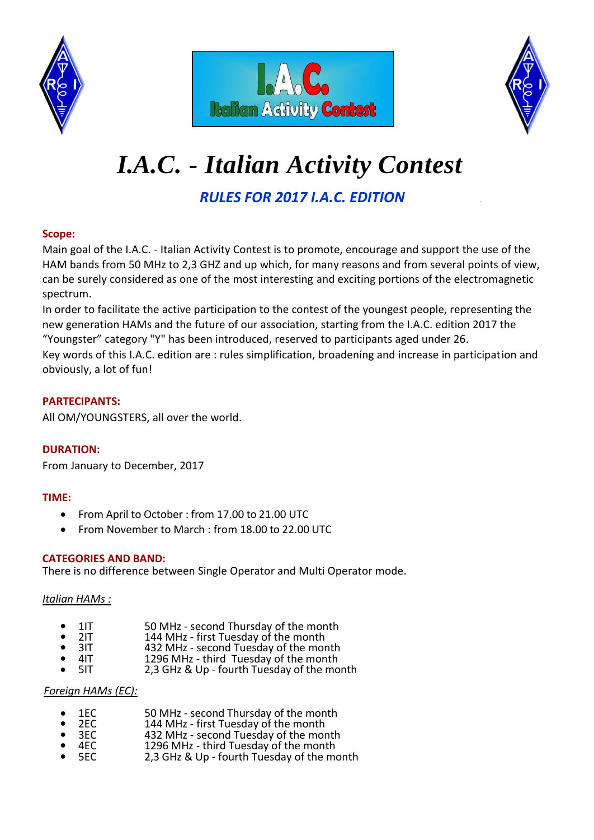





# *I.A.C. - Italian Activity Contest.*

*RULES FOR 2017 I.A.C. EDITION .*

# **Scope:**

Main goal of the I.A.C. - Italian Activity Contest is to promote, encourage and support the use of the HAM bands from 50 MHz to 2,3 GHZ and up which, for many reasons and from several points of view, can be surely considered as one of the most interesting and exciting portions of the electromagnetic spectrum.

In order to facilitate the active participation to the contest of the youngest people, representing the new generation HAMs and the future of our association, starting from the I.A.C. edition 2017 the "Youngster" category "Y" has been introduced, reserved to participants aged under 26.

Key words of this I.A.C. edition are : rules simplification, broadening and increase in participation and obviously, a lot of fun!

## **PARTECIPANTS:**

All OM/YOUNGSTERS, all over the world.

## **DURATION:**

From January to December, 2017

## **TIME:**

- From April to October : from 17.00 to 21.00 UTC
- From November to March : from 18.00 to 22.00 UTC

#### **CATEGORIES AND BAND:**

There is no difference between Single Operator and Multi Operator mode.

#### *Italian HAMs :*

- 1IT 50 MHz second Thursday of the month<br>144 MHz first Tuesday of the month
- 2IT 144 MHz first Tuesday of the month<br>3IT 432 MHz second Tuesday of the mor
- 3IT 432 MHz second Tuesday of the month<br>4IT 4296 MHz third Tuesday of the month
- 4IT 1296 MHz third Tuesday of the month<br>5IT 2.3 GHz & Up fourth Tuesday of the mo
- 2,3 GHz & Up fourth Tuesday of the month

#### *Foreign HAMs (EC):*

- 1EC 50 MHz second Thursday of the month<br>2EC 144 MHz first Tuesday of the month
- 2EC 144 MHz first Tuesday of the month<br>3EC 432 MHz second Tuesday of the mor
- 3EC 432 MHz second Tuesday of the month<br>4EC 1296 MHz third Tuesday of the month
- 4EC 1296 MHz third Tuesday of the month<br>5EC 2.3 GHz & Up fourth Tuesday of the mo
- 2,3 GHz & Up fourth Tuesday of the month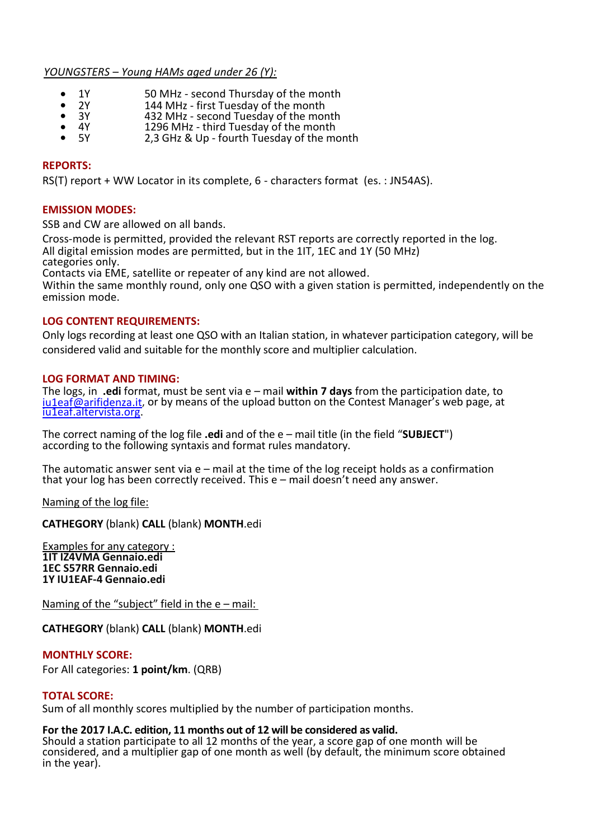#### *YOUNGSTERS – Young HAMs aged under 26 (Y):*

- 1Y 50 MHz second Thursday of the month<br>• 2Y 144 MHz first Tuesday of the month
- 2Y 144 MHz first Tuesday of the month
- 3Y 432 MHz second Tuesday of the month
- 4Y 1296 MHz third Tuesday of the month<br>5Y 2.3 GHz & Up fourth Tuesday of the mo
- 2,3 GHz & Up fourth Tuesday of the month

#### **REPORTS:**

RS(T) report + WW Locator in its complete, 6 - characters format (es. : JN54AS).

#### **EMISSION MODES:**

SSB and CW are allowed on all bands.

Cross-mode is permitted, provided the relevant RST reports are correctly reported in the log. All digital emission modes are permitted, but in the 1IT, 1EC and 1Y (50 MHz) categories only.

Contacts via EME, satellite or repeater of any kind are not allowed.

Within the same monthly round, only one QSO with a given station is permitted, independently on the emission mode.

#### **LOG CONTENT REQUIREMENTS:**

Only logs recording at least one QSO with an Italian station, in whatever participation category, will be considered valid and suitable for the monthly score and multiplier calculation.

#### **LOG FORMAT AND TIMING:**

The logs, in **.edi** format, must be sent via e – mail **within 7 days** from the participation date, to [iu1eaf@arifidenza.it](mailto:iu1eaf@arifidenza.it), or by means of the upload button on the Contest Manager's web page, at [iu1eaf.altervista.org.](http://iu1eaf.altervista.org/)

The correct naming of the log file **.edi** and of the e – mail title (in the field "**SUBJECT**") according to the following syntaxis and format rules mandatory.

The automatic answer sent via  $e$  – mail at the time of the log receipt holds as a confirmation that your log has been correctly received. This e – mail doesn't need any answer.

Naming of the log file:

 **CATHEGORY** (blank) **CALL** (blank) **MONTH**.edi

Examples for any category : **1IT IZ4VMA Gennaio.edi 1EC S57RR Gennaio.edi 1Y IU1EAF-4 Gennaio.edi**

Naming of the "subject" field in the  $e$  – mail:

**CATHEGORY** (blank) **CALL** (blank) **MONTH**.edi

**MONTHLY SCORE:**

For All categories: **1 point/km**. (QRB)

#### **TOTAL SCORE:**

Sum of all monthly scores multiplied by the number of participation months.

#### **For the 2017 I.A.C. edition, 11 months out of 12 will be considered as valid.**

Should a station participate to all 12 months of the year, a score gap of one month will be considered, and a multiplier gap of one month as well (by default, the minimum score obtained in the year).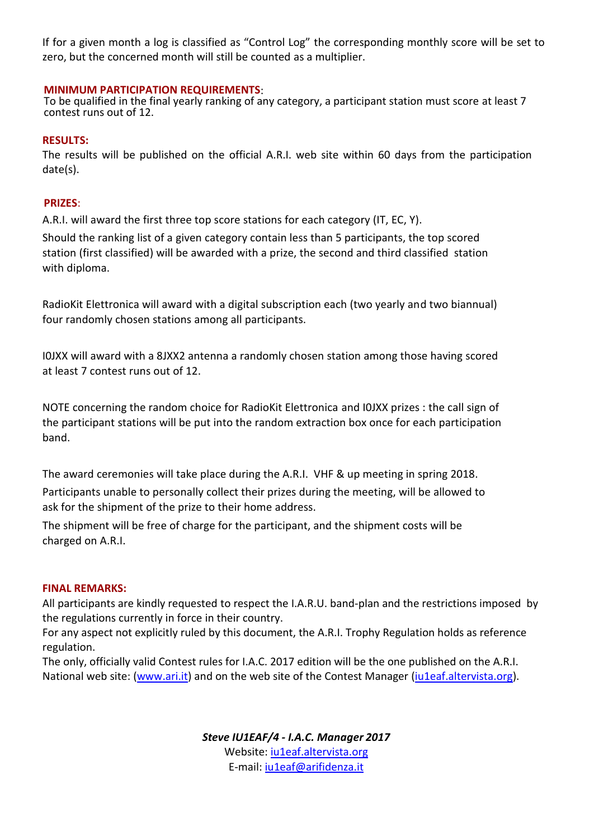If for a given month a log is classified as "Control Log" the corresponding monthly score will be set to zero, but the concerned month will still be counted as a multiplier.

#### **MINIMUM PARTICIPATION REQUIREMENTS**:

To be qualified in the final yearly ranking of any category, a participant station must score at least 7 contest runs out of 12.

#### **RESULTS:**

The results will be published on the official A.R.I. web site within 60 days from the participation date(s).

#### **PRIZES**:

A.R.I. will award the first three top score stations for each category (IT, EC, Y).

Should the ranking list of a given category contain less than 5 participants, the top scored station (first classified) will be awarded with a prize, the second and third classified station with diploma.

RadioKit Elettronica will award with a digital subscription each (two yearly and two biannual) four randomly chosen stations among all participants.

I0JXX will award with a 8JXX2 antenna a randomly chosen station among those having scored at least 7 contest runs out of 12.

NOTE concerning the random choice for RadioKit Elettronica and I0JXX prizes : the call sign of the participant stations will be put into the random extraction box once for each participation band.

The award ceremonies will take place during the A.R.I. VHF & up meeting in spring 2018. Participants unable to personally collect their prizes during the meeting, will be allowed to ask for the shipment of the prize to their home address.

The shipment will be free of charge for the participant, and the shipment costs will be charged on A.R.I.

#### **FINAL REMARKS:**

All participants are kindly requested to respect the I.A.R.U. band-plan and the restrictions imposed by the regulations currently in force in their country.

For any aspect not explicitly ruled by this document, the A.R.I. Trophy Regulation holds as reference regulation.

The only, officially valid Contest rules for I.A.C. 2017 edition will be the one published on the A.R.I. National web site: [\(www.ari.it\)](http://www.ari.it/) and on the web site of the Contest Manager [\(iu1eaf.altervista.org\)](http://iu1eaf.altervista.org/).

> *Steve IU1EAF/4 - I.A.C. Manager 2017* Website: [iu1eaf.altervista.org](http://iu1eaf.altervista.org/) E-mail: ju1eaf@arifidenza.it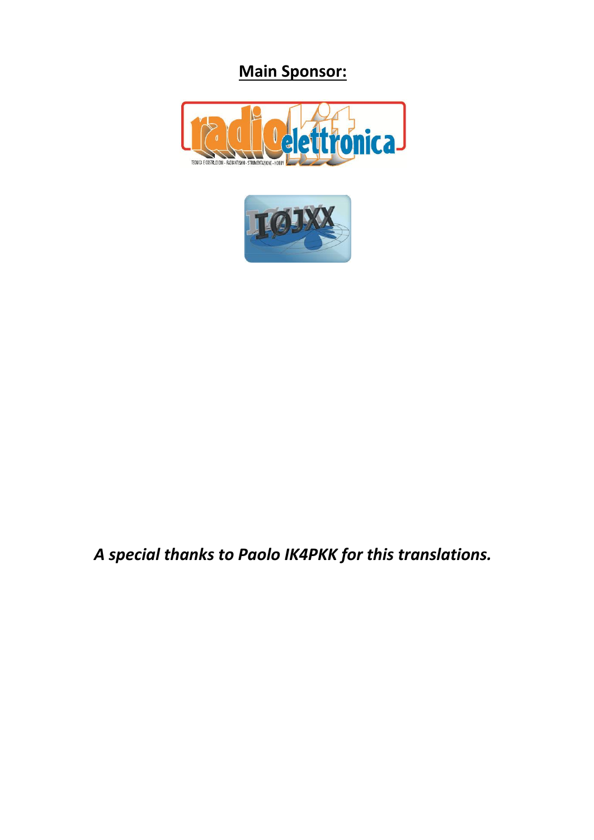# **Main Sponsor:**





# *A special thanks to Paolo IK4PKK for this translations.*